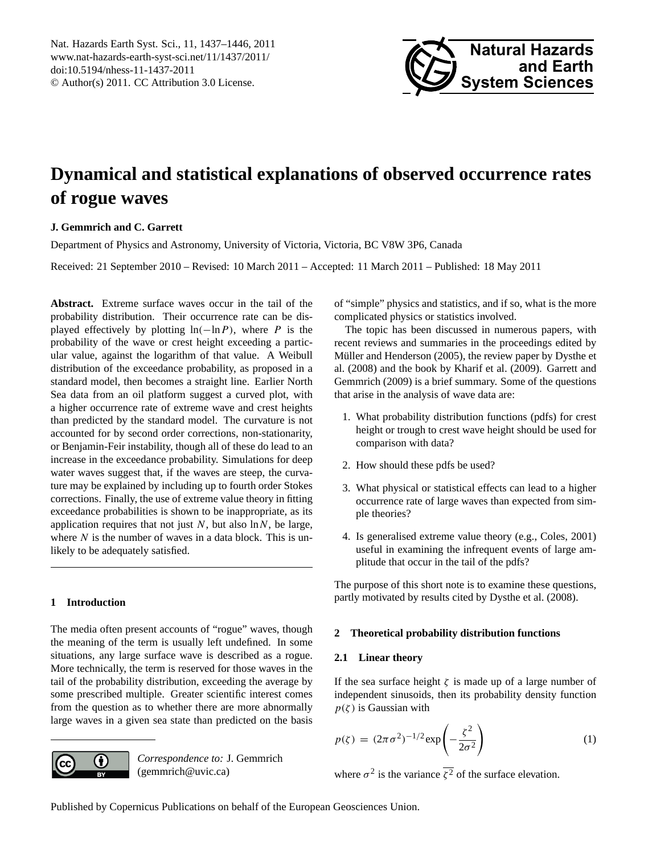<span id="page-0-0"></span>Nat. Hazards Earth Syst. Sci., 11, 1437–1446, 2011 www.nat-hazards-earth-syst-sci.net/11/1437/2011/ doi:10.5194/nhess-11-1437-2011 © Author(s) 2011. CC Attribution 3.0 License.



# **Dynamical and statistical explanations of observed occurrence rates of rogue waves**

# **J. Gemmrich and C. Garrett**

Department of Physics and Astronomy, University of Victoria, Victoria, BC V8W 3P6, Canada

Received: 21 September 2010 – Revised: 10 March 2011 – Accepted: 11 March 2011 – Published: 18 May 2011

**Abstract.** Extreme surface waves occur in the tail of the probability distribution. Their occurrence rate can be displayed effectively by plotting  $ln(-ln P)$ , where P is the probability of the wave or crest height exceeding a particular value, against the logarithm of that value. A Weibull distribution of the exceedance probability, as proposed in a standard model, then becomes a straight line. Earlier North Sea data from an oil platform suggest a curved plot, with a higher occurrence rate of extreme wave and crest heights than predicted by the standard model. The curvature is not accounted for by second order corrections, non-stationarity, or Benjamin-Feir instability, though all of these do lead to an increase in the exceedance probability. Simulations for deep water waves suggest that, if the waves are steep, the curvature may be explained by including up to fourth order Stokes corrections. Finally, the use of extreme value theory in fitting exceedance probabilities is shown to be inappropriate, as its application requires that not just  $N$ , but also  $\ln N$ , be large, where  $N$  is the number of waves in a data block. This is unlikely to be adequately satisfied.

# **1 Introduction**

The media often present accounts of "rogue" waves, though the meaning of the term is usually left undefined. In some situations, any large surface wave is described as a rogue. More technically, the term is reserved for those waves in the tail of the probability distribution, exceeding the average by some prescribed multiple. Greater scientific interest comes from the question as to whether there are more abnormally large waves in a given sea state than predicted on the basis



*Correspondence to:* J. Gemmrich (gemmrich@uvic.ca)

of "simple" physics and statistics, and if so, what is the more complicated physics or statistics involved.

The topic has been discussed in numerous papers, with recent reviews and summaries in the proceedings edited by Müller and Henderson [\(2005\)](#page-8-0), the review paper by [Dysthe et](#page-8-1) [al.](#page-8-1) [\(2008\)](#page-8-1) and the book by [Kharif et al.](#page-8-2) [\(2009\)](#page-8-2). [Garrett and](#page-8-3) [Gemmrich](#page-8-3) [\(2009\)](#page-8-3) is a brief summary. Some of the questions that arise in the analysis of wave data are:

- 1. What probability distribution functions (pdfs) for crest height or trough to crest wave height should be used for comparison with data?
- 2. How should these pdfs be used?
- 3. What physical or statistical effects can lead to a higher occurrence rate of large waves than expected from simple theories?
- 4. Is generalised extreme value theory (e.g., [Coles,](#page-8-4) [2001\)](#page-8-4) useful in examining the infrequent events of large amplitude that occur in the tail of the pdfs?

The purpose of this short note is to examine these questions, partly motivated by results cited by [Dysthe et al.](#page-8-1) [\(2008\)](#page-8-1).

# **2 Theoretical probability distribution functions**

# **2.1 Linear theory**

If the sea surface height  $\zeta$  is made up of a large number of independent sinusoids, then its probability density function  $p(\zeta)$  is Gaussian with

$$
p(\zeta) = (2\pi\sigma^2)^{-1/2} \exp\left(-\frac{\zeta^2}{2\sigma^2}\right) \tag{1}
$$

where  $\sigma^2$  is the variance  $\overline{\zeta^2}$  of the surface elevation.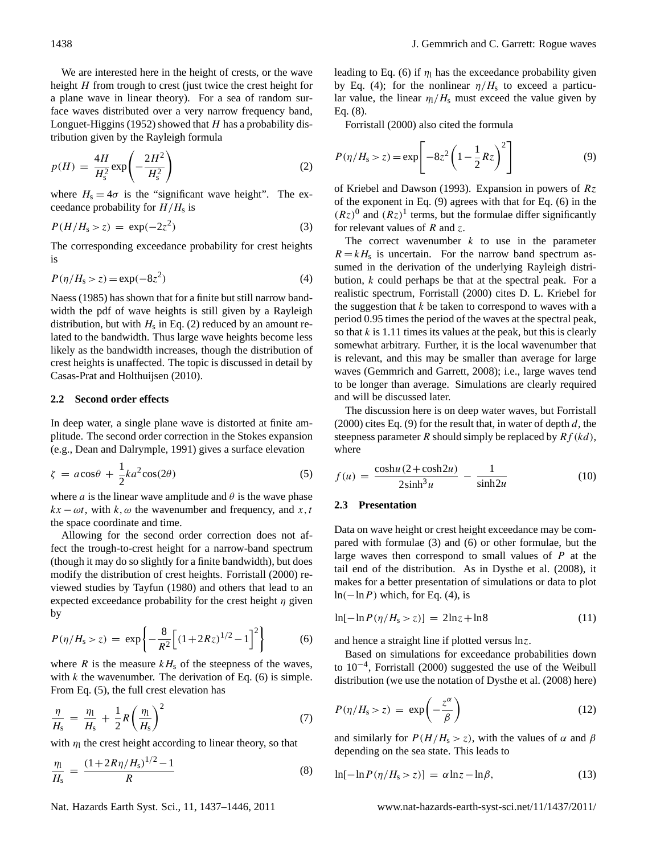We are interested here in the height of crests, or the wave height  $H$  from trough to crest (just twice the crest height for a plane wave in linear theory). For a sea of random surface waves distributed over a very narrow frequency band, [Longuet-Higgins](#page-8-5) [\(1952\)](#page-8-5) showed that  $H$  has a probability distribution given by the Rayleigh formula

<span id="page-1-0"></span>
$$
p(H) = \frac{4H}{H_s^2} \exp\left(-\frac{2H^2}{H_s^2}\right) \tag{2}
$$

where  $H_s = 4\sigma$  is the "significant wave height". The exceedance probability for  $H/H<sub>s</sub>$  is

<span id="page-1-6"></span>
$$
P(H/Hs > z) = \exp(-2z2)
$$
 (3)

The corresponding exceedance probability for crest heights is

<span id="page-1-3"></span>
$$
P(\eta/H_{\rm s} > z) = \exp(-8z^2)
$$
 (4)

[Naess](#page-9-0) [\(1985\)](#page-9-0) has shown that for a finite but still narrow bandwidth the pdf of wave heights is still given by a Rayleigh distribution, but with  $H_s$  in Eq. [\(2\)](#page-1-0) reduced by an amount related to the bandwidth. Thus large wave heights become less likely as the bandwidth increases, though the distribution of crest heights is unaffected. The topic is discussed in detail by [Casas-Prat and Holthuijsen](#page-8-6) [\(2010\)](#page-8-6).

#### **2.2 Second order effects**

In deep water, a single plane wave is distorted at finite amplitude. The second order correction in the Stokes expansion (e.g., [Dean and Dalrymple,](#page-8-7) [1991\)](#page-8-7) gives a surface elevation

<span id="page-1-2"></span>
$$
\zeta = a\cos\theta + \frac{1}{2}ka^2\cos(2\theta) \tag{5}
$$

where *a* is the linear wave amplitude and  $\theta$  is the wave phase  $kx - \omega t$ , with k,  $\omega$  the wavenumber and frequency, and x, t the space coordinate and time.

Allowing for the second order correction does not affect the trough-to-crest height for a narrow-band spectrum (though it may do so slightly for a finite bandwidth), but does modify the distribution of crest heights. [Forristall](#page-8-8) [\(2000\)](#page-8-8) reviewed studies by [Tayfun](#page-9-1) [\(1980\)](#page-9-1) and others that lead to an expected exceedance probability for the crest height  $\eta$  given by

<span id="page-1-1"></span>
$$
P(\eta/H_{\rm s} > z) = \exp\left\{-\frac{8}{R^2} \left[ (1 + 2Rz)^{1/2} - 1 \right]^2 \right\} \tag{6}
$$

where  $R$  is the measure  $kH<sub>s</sub>$  of the steepness of the waves, with  $k$  the wavenumber. The derivation of Eq. [\(6\)](#page-1-1) is simple. From Eq. [\(5\)](#page-1-2), the full crest elevation has

$$
\frac{\eta}{H_s} = \frac{\eta_1}{H_s} + \frac{1}{2}R\left(\frac{\eta_1}{H_s}\right)^2\tag{7}
$$

with  $\eta_1$  the crest height according to linear theory, so that

<span id="page-1-4"></span>
$$
\frac{\eta_1}{H_s} = \frac{(1 + 2R\eta/H_s)^{1/2} - 1}{R}
$$
\n(8)

leading to Eq. [\(6\)](#page-1-1) if  $\eta_1$  has the exceedance probability given by Eq. [\(4\)](#page-1-3); for the nonlinear  $\eta/H_s$  to exceed a particular value, the linear  $\eta_1/H_s$  must exceed the value given by Eq. [\(8\)](#page-1-4).

[Forristall](#page-8-8) [\(2000\)](#page-8-8) also cited the formula

<span id="page-1-5"></span>
$$
P(\eta/H_{\rm s} > z) = \exp\left[-8z^2 \left(1 - \frac{1}{2}Rz\right)^2\right]
$$
 (9)

of [Kriebel and Dawson](#page-8-9) [\(1993\)](#page-8-9). Expansion in powers of  $Rz$ of the exponent in Eq. [\(9\)](#page-1-5) agrees with that for Eq. [\(6\)](#page-1-1) in the  $(Rz)^0$  and  $(Rz)^1$  terms, but the formulae differ significantly for relevant values of  $R$  and  $\zeta$ .

The correct wavenumber  $k$  to use in the parameter  $R = kH<sub>s</sub>$  is uncertain. For the narrow band spectrum assumed in the derivation of the underlying Rayleigh distribution, k could perhaps be that at the spectral peak. For a realistic spectrum, [Forristall](#page-8-8) [\(2000\)](#page-8-8) cites D. L. Kriebel for the suggestion that  $k$  be taken to correspond to waves with a period 0.95 times the period of the waves at the spectral peak, so that  $k$  is 1.11 times its values at the peak, but this is clearly somewhat arbitrary. Further, it is the local wavenumber that is relevant, and this may be smaller than average for large waves [\(Gemmrich and Garrett,](#page-8-10) [2008\)](#page-8-10); i.e., large waves tend to be longer than average. Simulations are clearly required and will be discussed later.

The discussion here is on deep water waves, but [Forristall](#page-8-8) [\(2000\)](#page-8-8) cites Eq. [\(9\)](#page-1-5) for the result that, in water of depth  $d$ , the steepness parameter R should simply be replaced by  $Rf(kd)$ , where

<span id="page-1-7"></span>
$$
f(u) = \frac{\cosh u (2 + \cosh 2u)}{2 \sinh^3 u} - \frac{1}{\sinh 2u}
$$
 (10)

#### **2.3 Presentation**

Data on wave height or crest height exceedance may be compared with formulae [\(3\)](#page-1-6) and [\(6\)](#page-1-1) or other formulae, but the large waves then correspond to small values of P at the tail end of the distribution. As in [Dysthe et al.](#page-8-1) [\(2008\)](#page-8-1), it makes for a better presentation of simulations or data to plot  $ln(-ln P)$  which, for Eq. [\(4\)](#page-1-3), is

$$
\ln[-\ln P(\eta/H_s > z)] = 2\ln z + \ln 8\tag{11}
$$

and hence a straight line if plotted versus lnz.

Based on simulations for exceedance probabilities down to 10−<sup>4</sup> , [Forristall](#page-8-8) [\(2000\)](#page-8-8) suggested the use of the Weibull distribution (we use the notation of [Dysthe et al.](#page-8-1) [\(2008\)](#page-8-1) here)

<span id="page-1-8"></span>
$$
P(\eta/H_{\rm s} > z) = \exp\left(-\frac{z^{\alpha}}{\beta}\right) \tag{12}
$$

and similarly for  $P(H/H_s > z)$ , with the values of  $\alpha$  and  $\beta$ depending on the sea state. This leads to

<span id="page-1-9"></span>
$$
\ln[-\ln P(\eta/H_s > z)] = \alpha \ln z - \ln \beta, \tag{13}
$$

Nat. Hazards Earth Syst. Sci., 11, 1437[–1446,](#page-0-0) 2011 www.nat-hazards-earth-syst-sci.net/11/1437/2011/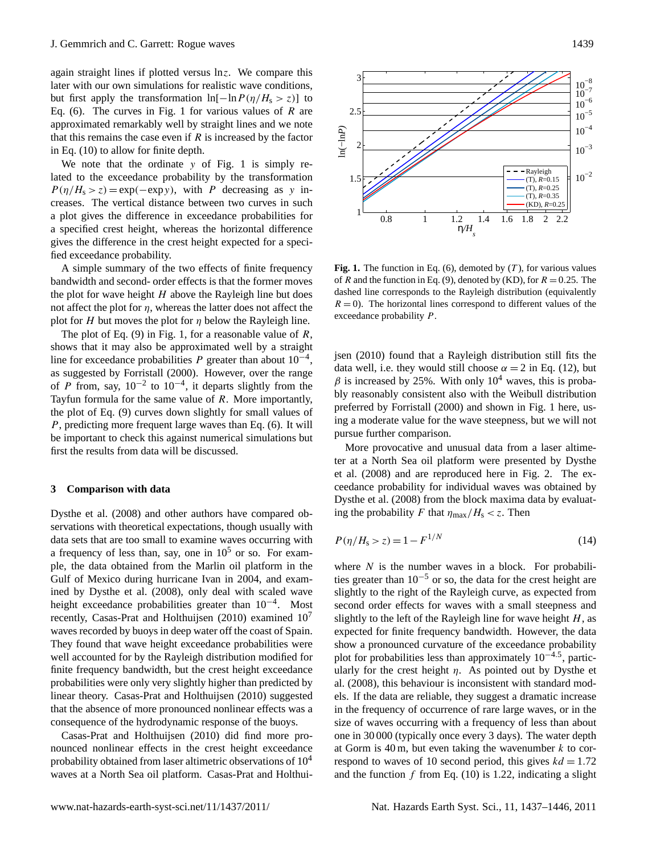again straight lines if plotted versus lnz. We compare this later with our own simulations for realistic wave conditions, but first apply the transformation  $ln[-ln P(\eta/H_s > z)]$  to Eq. [\(6\)](#page-1-1). The curves in Fig. [1](#page-2-0) for various values of  $R$  are approximated remarkably well by straight lines and we note that this remains the case even if  $R$  is increased by the factor in Eq. [\(10\)](#page-1-7) to allow for finite depth.

We note that the ordinate y of Fig. [1](#page-2-0) is simply related to the exceedance probability by the transformation  $P(\eta/H_s > z) = \exp(-\exp y)$ , with P decreasing as y increases. The vertical distance between two curves in such a plot gives the difference in exceedance probabilities for a specified crest height, whereas the horizontal difference gives the difference in the crest height expected for a specified exceedance probability.

A simple summary of the two effects of finite frequency bandwidth and second- order effects is that the former moves the plot for wave height  $H$  above the Rayleigh line but does not affect the plot for  $\eta$ , whereas the latter does not affect the plot for H but moves the plot for  $\eta$  below the Rayleigh line.

The plot of Eq.  $(9)$  in Fig. [1,](#page-2-0) for a reasonable value of R, shows that it may also be approximated well by a straight line for exceedance probabilities P greater than about  $10^{-4}$ , as suggested by [Forristall](#page-8-8) [\(2000\)](#page-8-8). However, over the range of P from, say,  $10^{-2}$  to  $10^{-4}$ , it departs slightly from the Tayfun formula for the same value of  $R$ . More importantly, the plot of Eq. [\(9\)](#page-1-5) curves down slightly for small values of P, predicting more frequent large waves than Eq. [\(6\)](#page-1-1). It will be important to check this against numerical simulations but first the results from data will be discussed.

#### **3 Comparison with data**

[Dysthe et al.](#page-8-1) [\(2008\)](#page-8-1) and other authors have compared observations with theoretical expectations, though usually with data sets that are too small to examine waves occurring with a frequency of less than, say, one in  $10^5$  or so. For example, the data obtained from the Marlin oil platform in the Gulf of Mexico during hurricane Ivan in 2004, and examined by [Dysthe et al.](#page-8-1) [\(2008\)](#page-8-1), only deal with scaled wave height exceedance probabilities greater than 10<sup>-4</sup>. Most recently, [Casas-Prat and Holthuijsen](#page-8-6) [\(2010\)](#page-8-6) examined  $10<sup>7</sup>$ waves recorded by buoys in deep water off the coast of Spain. They found that wave height exceedance probabilities were well accounted for by the Rayleigh distribution modified for finite frequency bandwidth, but the crest height exceedance probabilities were only very slightly higher than predicted by linear theory. [Casas-Prat and Holthuijsen](#page-8-6) [\(2010\)](#page-8-6) suggested that the absence of more pronounced nonlinear effects was a consequence of the hydrodynamic response of the buoys.

[Casas-Prat and Holthuijsen](#page-8-6) [\(2010\)](#page-8-6) did find more pronounced nonlinear effects in the crest height exceedance probability obtained from laser altimetric observations of  $10<sup>4</sup>$ waves at a North Sea oil platform. [Casas-Prat and Holthui-](#page-8-6)



<span id="page-2-0"></span>**Fig. 1.** The function in Eq. [\(6\)](#page-1-1), demoted by  $(T)$ , for various values of R and the function in Eq. [\(9\)](#page-1-5), denoted by (KD), for  $R = 0.25$ . The dashed line corresponds to the Rayleigh distribution (equivalently exceedance probability P.  $R = 0$ ). The horizontal lines correspond to different values of the

 $\sigma$ <sup>-4</sup> [jsen](#page-8-6) [\(2010\)](#page-8-6) found that a Rayleigh distribution still fits the data well, i.e. they would still choose  $\alpha = 2$  in Eq. [\(12\)](#page-1-8), but  $\beta$  is increased by 25%. With only 10<sup>4</sup> waves, this is probably reasonably consistent also with the Weibull distribution preferred by [Forristall](#page-8-8) [\(2000\)](#page-8-8) and shown in Fig. 1 here, us- $\frac{1}{2}$  ing a moderate value for the wave steepness, but we will not pursue further comparison.

More provocative and unusual data from a laser altime-ter at a North Sea oil platform were presented by [Dysthe](#page-8-1) [et al.](#page-8-1) [\(2008\)](#page-8-1) and are reproduced here in Fig. [2.](#page-3-0) The exceedance probability for individual waves was obtained by [Dysthe et al.](#page-8-1) [\(2008\)](#page-8-1) from the block maxima data by evaluating the probability F that  $\eta_{\text{max}}/H_s < z$ . Then

$$
P(\eta/H_{\rm s} > z) = 1 - F^{1/N} \tag{14}
$$

where  $N$  is the number waves in a block. For probabilities greater than  $10^{-5}$  or so, the data for the crest height are slightly to the right of the Rayleigh curve, as expected from second order effects for waves with a small steepness and slightly to the left of the Rayleigh line for wave height  $H$ , as expected for finite frequency bandwidth. However, the data show a pronounced curvature of the exceedance probability plot for probabilities less than approximately 10<sup>-4.5</sup>, particularly for the crest height  $\eta$ . As pointed out by [Dysthe et](#page-8-1) [al.](#page-8-1) [\(2008\)](#page-8-1), this behaviour is inconsistent with standard models. If the data are reliable, they suggest a dramatic increase in the frequency of occurrence of rare large waves, or in the size of waves occurring with a frequency of less than about one in 30 000 (typically once every 3 days). The water depth at Gorm is  $40 \text{ m}$ , but even taking the wavenumber k to correspond to waves of 10 second period, this gives  $kd = 1.72$ and the function  $f$  from Eq. [\(10\)](#page-1-7) is 1.22, indicating a slight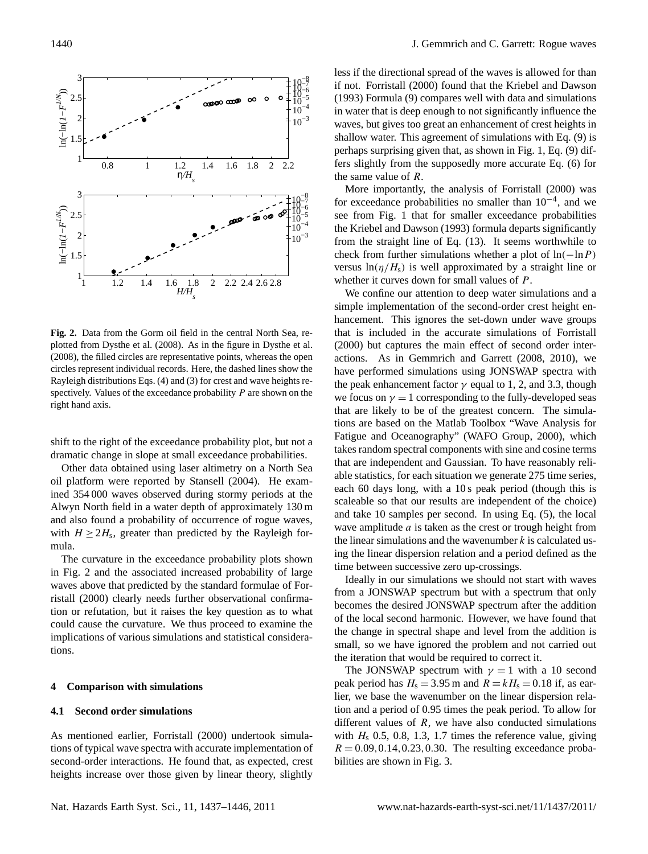

<span id="page-3-0"></span>Fig. 2. Data from the Gorm oil field in the central North Sea, refigure in Dystal fiber et al. (2008), the filled circles are representative points, whereas the open circles representative points, whereas the open circles representative points, whereas the open circles representative po plotted from [Dysthe et al.](#page-8-1) [\(2008\)](#page-8-1). As in the figure in Dysthe et al.  $(2008)$  $(2008)$ , the filled circles are representative points, whereas the open  $d_{\text{eq}}$  and significantly in  $\sigma$  is defined to not significantly influence the waves, but gives,  $\sigma$ spectively. Values of the exceedance probability  $P$  are shown on the  $170$  is perhaps surprising given that, as shown in Figure 1, (9) differs slightly from the support of  $\alpha$ circles represent individual records. Here, the dashed lines show the Rayleigh distributions Eqs. [\(4\)](#page-1-3) and [\(3\)](#page-1-6) for crest and wave heights reright hand axis.

shift to the right of the exceedance probability plot, but not a dramatic change in slope at small exceedance probabilities.

Other data obtained using laser altimetry on a North Sea oil platform were reported by [Stansell](#page-9-2) [\(2004\)](#page-9-2). He examined 354 000 waves observed during stormy periods at the Alwyn North field in a water depth of approximately 130 m and also found a probability of occurrence of rogue waves, with  $H \geq 2H_s$ , greater than predicted by the Rayleigh formula.

> 7 The curvature in the exceedance probability plots shown in Fig. [2](#page-3-0) and the associated increased probability of large waves above that predicted by the standard formulae of [For](#page-8-8)[ristall](#page-8-8) [\(2000\)](#page-8-8) clearly needs further observational confirmation or refutation, but it raises the key question as to what could cause the curvature. We thus proceed to examine the implications of various simulations and statistical considerations.

#### **4 Comparison with simulations**

## **4.1 Second order simulations**

As mentioned earlier, [Forristall](#page-8-8) [\(2000\)](#page-8-8) undertook simulations of typical wave spectra with accurate implementation of second-order interactions. He found that, as expected, crest heights increase over those given by linear theory, slightly less if the directional spread of the waves is allowed for than if not. [Forristall](#page-8-8) [\(2000\)](#page-8-8) found that the [Kriebel and Dawson](#page-8-9) [\(1993\)](#page-8-9) Formula [\(9\)](#page-1-5) compares well with data and simulations in water that is deep enough to not significantly influence the waves, but gives too great an enhancement of crest heights in shallow water. This agreement of simulations with Eq. [\(9\)](#page-1-5) is perhaps surprising given that, as shown in Fig. [1,](#page-2-0) Eq. [\(9\)](#page-1-5) differs slightly from the supposedly more accurate Eq. [\(6\)](#page-1-1) for the same value of R.

More importantly, the analysis of [Forristall](#page-8-8) [\(2000\)](#page-8-8) was for exceedance probabilities no smaller than  $10^{-4}$ , and we see from Fig. [1](#page-2-0) that for smaller exceedance probabilities the [Kriebel and Dawson](#page-8-9) [\(1993\)](#page-8-9) formula departs significantly from the straight line of Eq. [\(13\)](#page-1-9). It seems worthwhile to check from further simulations whether a plot of  $ln(-ln P)$ versus  $ln(\eta/H_s)$  is well approximated by a straight line or whether it curves down for small values of P.

We confine our attention to deep water simulations and a simple implementation of the second-order crest height enhancement. This ignores the set-down under wave groups that is included in the accurate simulations of [Forristall](#page-8-8) [\(2000\)](#page-8-8) but captures the main effect of second order interactions. As in [Gemmrich and Garrett](#page-8-10) [\(2008,](#page-8-10) [2010\)](#page-8-11), we have performed simulations using JONSWAP spectra with the peak enhancement factor  $\gamma$  equal to 1, 2, and 3.3, though we focus on  $\gamma = 1$  corresponding to the fully-developed seas that are likely to be of the greatest concern. The simulations are based on the Matlab Toolbox "Wave Analysis for Fatigue and Oceanography" [\(WAFO Group,](#page-9-3) [2000\)](#page-9-3), which takes random spectral components with sine and cosine terms that are independent and Gaussian. To have reasonably reliable statistics, for each situation we generate 275 time series, each 60 days long, with a 10 s peak period (though this is scaleable so that our results are independent of the choice) and take 10 samples per second. In using Eq. [\(5\)](#page-1-2), the local wave amplitude  $a$  is taken as the crest or trough height from the linear simulations and the wavenumber  $k$  is calculated using the linear dispersion relation and a period defined as the time between successive zero up-crossings.

Ideally in our simulations we should not start with waves from a JONSWAP spectrum but with a spectrum that only becomes the desired JONSWAP spectrum after the addition of the local second harmonic. However, we have found that the change in spectral shape and level from the addition is small, so we have ignored the problem and not carried out the iteration that would be required to correct it.

The JONSWAP spectrum with  $\gamma = 1$  with a 10 second peak period has  $H_s = 3.95$  m and  $R = kH_s = 0.18$  if, as earlier, we base the wavenumber on the linear dispersion relation and a period of 0.95 times the peak period. To allow for different values of  $R$ , we have also conducted simulations with  $H<sub>s</sub>$  0.5, 0.8, 1.3, 1.7 times the reference value, giving  $R = 0.09, 0.14, 0.23, 0.30$ . The resulting exceedance probabilities are shown in Fig. [3.](#page-4-0)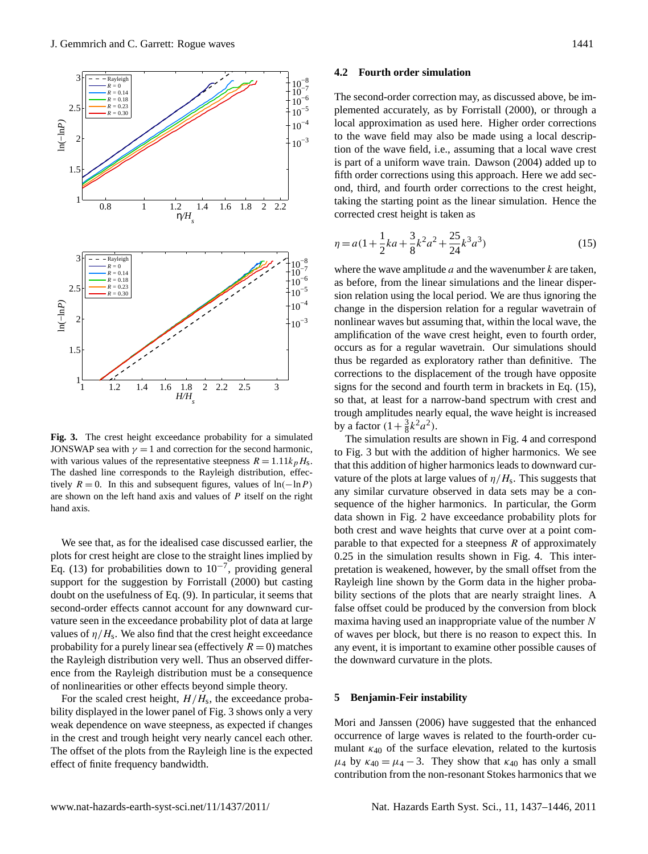

<span id="page-4-0"></span>Fig. 3. The crest height exceedance probability for a simulated JONSWAP sea with  $\gamma = 1$  and correction for the second harmonic, with various values of the representative steepness  $R = 1.11k_pH_s$ . The dashed line corresponds to the Rayleigh distribution, effectively  $R = 0$ . In this and subsequent figures, values of ln(−lnP) are shown on the left hand axis and values of  $P$  itself on the right hand axis.

9 plots for crest height are close to the straight lines implied by We see that, as for the idealised case discussed earlier, the Eq. [\(13\)](#page-1-9) for probabilities down to  $10^{-7}$ , providing general support for the suggestion by [Forristall](#page-8-8) [\(2000\)](#page-8-8) but casting doubt on the usefulness of Eq. [\(9\)](#page-1-5). In particular, it seems that second-order effects cannot account for any downward curvature seen in the exceedance probability plot of data at large values of  $\eta/H_s$ . We also find that the crest height exceedance probability for a purely linear sea (effectively  $R = 0$ ) matches the Rayleigh distribution very well. Thus an observed difference from the Rayleigh distribution must be a consequence of nonlinearities or other effects beyond simple theory.

For the scaled crest height,  $H/H_s$ , the exceedance probability displayed in the lower panel of Fig. [3](#page-4-0) shows only a very weak dependence on wave steepness, as expected if changes in the crest and trough height very nearly cancel each other. The offset of the plots from the Rayleigh line is the expected effect of finite frequency bandwidth.

#### **4.2 Fourth order simulation**

The second-order correction may, as discussed above, be implemented accurately, as by [Forristall](#page-8-8) [\(2000\)](#page-8-8), or through a local approximation as used here. Higher order corrections to the wave field may also be made using a local description of the wave field, i.e., assuming that a local wave crest is part of a uniform wave train. [Dawson](#page-8-12) [\(2004\)](#page-8-12) added up to fifth order corrections using this approach. Here we add second, third, and fourth order corrections to the crest height, taking the starting point as the linear simulation. Hence the corrected crest height is taken as

<span id="page-4-1"></span>
$$
\eta = a\left(1 + \frac{1}{2}ka + \frac{3}{8}k^2a^2 + \frac{25}{24}k^3a^3\right)
$$
\n<sup>(15)</sup>

where the wave amplitude  $a$  and the wavenumber  $k$  are taken, as before, from the linear simulations and the linear dispersion relation using the local period. We are thus ignoring the change in the dispersion relation for a regular wavetrain of nonlinear waves but assuming that, within the local wave, the amplification of the wave crest height, even to fourth order, occurs as for a regular wavetrain. Our simulations should thus be regarded as exploratory rather than definitive. The corrections to the displacement of the trough have opposite signs for the second and fourth term in brackets in Eq. [\(15\)](#page-4-1), so that, at least for a narrow-band spectrum with crest and trough amplitudes nearly equal, the wave height is increased by a factor  $(1 + \frac{3}{8}k^2 a^2)$ .

The simulation results are shown in Fig. [4](#page-5-0) and correspond to Fig. [3](#page-4-0) but with the addition of higher harmonics. We see that this addition of higher harmonics leads to downward curvature of the plots at large values of  $\eta/H_s$ . This suggests that any similar curvature observed in data sets may be a consequence of the higher harmonics. In particular, the Gorm data shown in Fig. [2](#page-3-0) have exceedance probability plots for both crest and wave heights that curve over at a point comparable to that expected for a steepness  $R$  of approximately 0.25 in the simulation results shown in Fig. [4.](#page-5-0) This interpretation is weakened, however, by the small offset from the Rayleigh line shown by the Gorm data in the higher probability sections of the plots that are nearly straight lines. A false offset could be produced by the conversion from block maxima having used an inappropriate value of the number N of waves per block, but there is no reason to expect this. In any event, it is important to examine other possible causes of the downward curvature in the plots.

#### **5 Benjamin-Feir instability**

[Mori and Janssen](#page-8-13) [\(2006\)](#page-8-13) have suggested that the enhanced occurrence of large waves is related to the fourth-order cumulant  $\kappa_{40}$  of the surface elevation, related to the kurtosis  $\mu_4$  by  $\kappa_{40} = \mu_4 - 3$ . They show that  $\kappa_{40}$  has only a small contribution from the non-resonant Stokes harmonics that we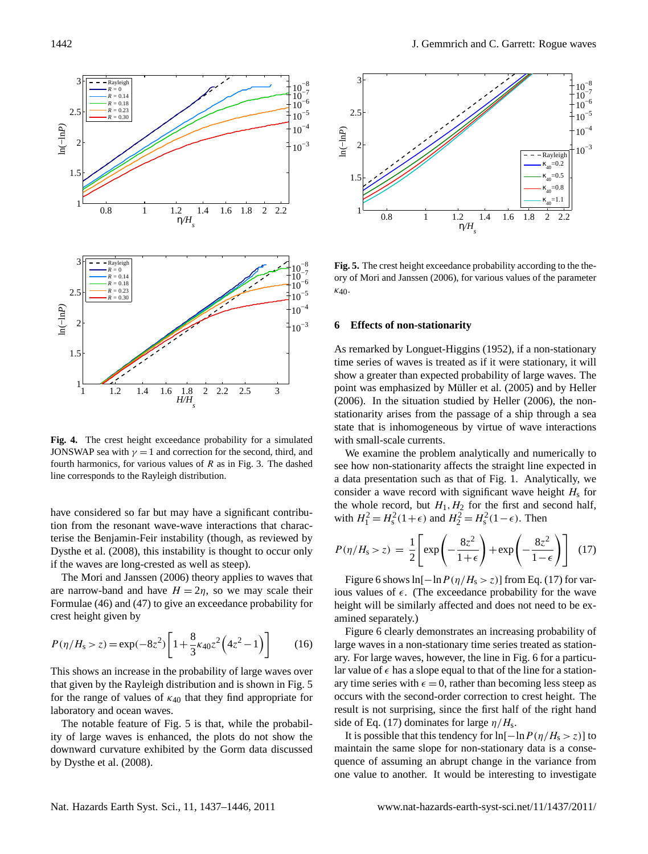

<span id="page-5-0"></span>Fig. 4. The crest height exceedance probability for a simulated JONSWAP sea with  $\gamma = 1$  and correction for the second, third, and fourth harmonics, for various values of R as in Fig. [3.](#page-4-0) The dashed and ocean waves. The notable feature  $\mathcal{L}_{\mathcal{F}}$  is that, while the probability of large waves is that, while the probability of large waves is that, while the probability of large waves is the probability of large wav line corresponds to the Rayleigh distribution.

have considered so far but may have a significant contribu-E form of all  $(2000)$ , and installing to the agent tion from the resonant wave-wave interactions that characterise the Benjamin-Feir instability (though, as reviewed by [Dysthe et al.](#page-8-1) [\(2008\)](#page-8-1), this instability is thought to occur only

The [Mori and Janssen](#page-8-13) [\(2006\)](#page-8-13) theory applies to waves that are narrow-band and have  $H = 2\eta$ , so we may scale their Formulae (46) and (47) to give an exceedance probability for crest height given by

$$
P(\eta/H_{\rm s} > z) = \exp(-8z^2) \left[ 1 + \frac{8}{3} \kappa_{40} z^2 \left( 4z^2 - 1 \right) \right] \tag{16}
$$

This shows an increase in the probability of large waves over that given by the Rayleigh distribution and is shown in Fig. [5](#page-5-1) for the range of values of  $\kappa_{40}$  that they find appropriate for laboratory and ocean waves.

The notable feature of Fig. [5](#page-5-1) is that, while the probability of large waves is enhanced, the plots do not show the downward curvature exhibited by the Gorm data discussed by [Dysthe et al.](#page-8-1) [\(2008\)](#page-8-1).



<span id="page-5-1"></span> $10^{-5}$  **640** Fig. 5. The crest height exceedance probability according to the the-ory of [Mori and Janssen](#page-8-13) [\(2006\)](#page-8-13), for various values of the parameter  $k_{40}$ 

#### As remarked by Longuet-Higgins (1952), if a non-stationary time series of waves is treated as if  $\alpha$ **6 Effects of non-stationarity**

As remarked by [Longuet-Higgins](#page-8-5) [\(1952\)](#page-8-5), if a non-stationary time series of waves is treated as if it were stationary, it will show a greater than expected probability of large waves. The point was emphasized by Müller et al.  $(2005)$  and by [Heller](#page-8-15)  $\frac{1}{2006}$ . In the situation studied by Heller [\(2006\)](#page-8-15), the non- $\frac{1}{\sqrt{2}}$  wave record with significant wave here  $\frac{1}{\sqrt{2}}$  for the first and first and first and first and first and first and first and first and first and first and first and first and first and first and first an stationarity arises from the passage of a ship through a sea  $\frac{1}{2}$  and  $\frac{1}{2}$  and  $\frac{1}{2}$ . with sma all-scale ( state that is inhomogeneous by virtue of wave interactions  $\ddot{ }$ lated with small-scale currents.

enhanced, the plots do not show the downward curvature exhibited by the Gorm data discussed by the Gorm data discussed by the Gorm data discussed by the Gorm data discussed by the Gorm data discussed by the Gorm data disc In sman-scare currents.<br>We examine the problem analytically and numerically to Figure 6 shows non-stationarity affects the straight line expected in for the wave here is a matter will be examined to be examined separately. a data presentation such as that of Fig. [1.](#page-2-0) Analytically, we the whole record, but  $H_1, H_2$  for the first and second half,  $270$  has a series equal to the line for a second hand  $\frac{1}{2}$   $\frac{1}{2}$   $\frac{1}{2}$   $\frac{1}{2}$   $\frac{1}{2}$   $\frac{1}{2}$   $\frac{1}{2}$   $\frac{1}{2}$   $\frac{1}{2}$   $\frac{1}{2}$   $\frac{1}{2}$   $\frac{1}{2}$   $\frac{1}{2}$   $\frac{1}{2}$   $\frac{1}{2}$   $\frac{1}{2}$   $\frac{1}{$ with  $H_1^2 = H_s^2(1+\epsilon)$  and  $H_2^2 = H_s^2(1-\epsilon)$ . Then consider a wave record with significant wave height  $H<sub>s</sub>$  for

<span id="page-5-2"></span>
$$
P(\eta/H_{\rm s} > z) = \frac{1}{2} \left[ \exp\left(-\frac{8z^2}{1+\epsilon}\right) + \exp\left(-\frac{8z^2}{1-\epsilon}\right) \right] \tag{17}
$$

Figure [6](#page-6-0) shows  $ln[-ln P(\eta/H_s > z)]$  from Eq. [\(17\)](#page-5-2) for various values of  $\epsilon$ . (The exceedance probability for the wave height will be similarly affected and does not need to be examined separately.)

Figure [6](#page-6-0) clearly demonstrates an increasing probability of large waves in a non-stationary time series treated as stationary. For large waves, however, the line in Fig. [6](#page-6-0) for a particular value of  $\epsilon$  has a slope equal to that of the line for a stationary time series with  $\epsilon = 0$ , rather than becoming less steep as occurs with the second-order correction to crest height. The result is not surprising, since the first half of the right hand side of Eq. [\(17\)](#page-5-2) dominates for large  $\eta/H_s$ .

It is possible that this tendency for  $ln[-ln P(\eta/H_s > z)]$  to maintain the same slope for non-stationary data is a consequence of assuming an abrupt change in the variance from one value to another. It would be interesting to investigate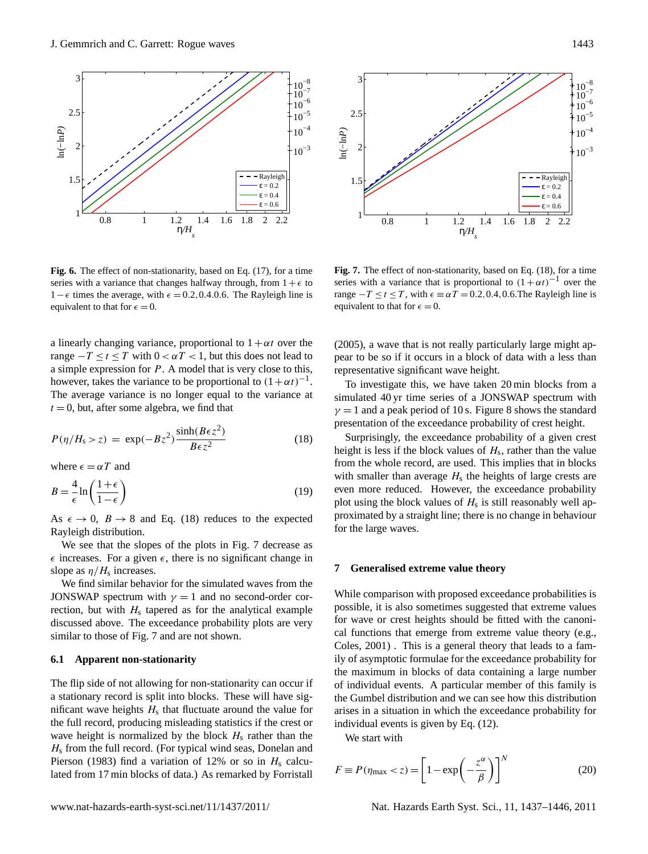

<span id="page-6-0"></span>**Fig. 6.** The effect of non-stationarity, based on Eq. [\(17\)](#page-5-2), for a time  $\blacksquare$ the average of the average through,  $\frac{1}{2}$ ,  $\frac{1}{2}$ ,  $\frac{1}{2}$ ,  $\frac{1}{2}$ ,  $\frac{1}{2}$ ,  $\frac{1}{2}$ ,  $\frac{1}{2}$ ,  $\frac{1}{2}$ ,  $\frac{1}{2}$ ,  $\frac{1}{2}$ ,  $\frac{1}{2}$ ,  $\frac{1}{2}$ ,  $\frac{1}{2}$ ,  $\frac{1}{2}$ ,  $\frac{1}{2}$ ,  $\frac{1}{2}$ ,  $\frac{1}{2}$ equivalent to that for  $\epsilon = 0$ .  $1-\epsilon$  times the average, with  $\epsilon = 0.2, 0.4.0.6$ . The Rayleigh line is

a linearly changing variance, proportional to  $1 + \alpha t$  over the  $T = T \times T$   $T = T \times T$   $T = T \times T$   $T = T \times T$ range  $-T \le t \le T$  with  $0 < \alpha T < 1$ , but this does not lead to however, takes the variance to be proportional to  $(1 + \alpha t)^{-1}$ . The average variance is The average variance is no longer equal to the variance at  $t = 0$ , but, after some algebra, we find that a simple expression for P. A model that is very close to this,

<span id="page-6-1"></span>
$$
P(\eta/H_s > z) = \exp(-Bz^2) \frac{\sinh(B\epsilon z^2)}{B\epsilon z^2}
$$
 (18)

where  $\epsilon = \alpha T$  and  $\epsilon = \alpha T$  and

$$
B = \frac{4}{\epsilon} \ln \left( \frac{1+\epsilon}{1-\epsilon} \right) \tag{19}
$$

As  $\epsilon \to 0$ ,  $B \to 8$  and Eq. [\(18\)](#page-6-1) reduces to the expected Rayleigh distribution.

 $\epsilon$  increases. For a given  $\epsilon$ , there is no significant change in We see that the slopes of the plots in Fig. [7](#page-6-2) decrease as slope as  $\eta/H$ <sub>s</sub> increases.

We find similar behavior for the simulated waves from the JONSWAP spectrum with  $\gamma = 1$  and no second-order correction, but with  $H<sub>s</sub>$  tapered as for the analytical example discussed above. The exceedance probability plots are very similar to those of Fig. [7](#page-6-2) and are not shown.

#### **6.1 Apparent non-stationarity**

The flip side of not allowing for non-stationarity can occur if a stationary record is split into blocks. These will have significant wave heights  $H_s$  that fluctuate around the value for the full record, producing misleading statistics if the crest or wave height is normalized by the block  $H_s$  rather than the  $H<sub>s</sub>$  from the full record. (For typical wind seas, [Donelan and](#page-8-16) [Pierson](#page-8-16) [\(1983\)](#page-8-16) find a variation of 12% or so in  $H_s$  calculated from 17 min blocks of data.) As remarked by [Forristall](#page-8-17)



<span id="page-6-2"></span>Fig. 7. The effect of non-stationarity, based on Eq. [\(18\)](#page-6-1), for a time series with a variance that is proportional to  $(1+\alpha t)^{-1}$  over the equivalent to that for  $\epsilon = 0$ . range  $-T \le t \le T$ , with  $\epsilon \equiv \alpha T = 0.2, 0.4, 0.6$ . The Rayleigh line is

 $\mathbf{r}$ the  $(2005)$ , a wave that is not really particularly large might appear to be so if it occurs in a block of data with a less than representative significant wave height.

simulated 40 yr time series of a JONSWAP spectrum with To investigate this, we have taken 20 min blocks from a  $\gamma = 1$  and a peak period of 10 s. Figure [8](#page-7-0) shows the standard presentation of the exceedance probability of crest height.

Surprisingly, the exceedance probability of a given crest height is less if the block values of  $H_s$ , rather than the value from the whole record, are used. This implies that in blocks with smaller than average  $H<sub>s</sub>$  the heights of large crests are even more reduced. However, the exceedance probability plot using the block values of  $H_s$  is still reasonably well approximated by a straight line; there is no change in behaviour for the large waves.

# 14 **7 Generalised extreme value theory**

While comparison with proposed exceedance probabilities is possible, it is also sometimes suggested that extreme values for wave or crest heights should be fitted with the canonical functions that emerge from extreme value theory (e.g., [Coles,](#page-8-4) [2001\)](#page-8-4) . This is a general theory that leads to a family of asymptotic formulae for the exceedance probability for the maximum in blocks of data containing a large number of individual events. A particular member of this family is the Gumbel distribution and we can see how this distribution arises in a situation in which the exceedance probability for individual events is given by Eq. [\(12\)](#page-1-8).

We start with

$$
F \equiv P(\eta_{\text{max}} < z) = \left[1 - \exp\left(-\frac{z^{\alpha}}{\beta}\right)\right]^N \tag{20}
$$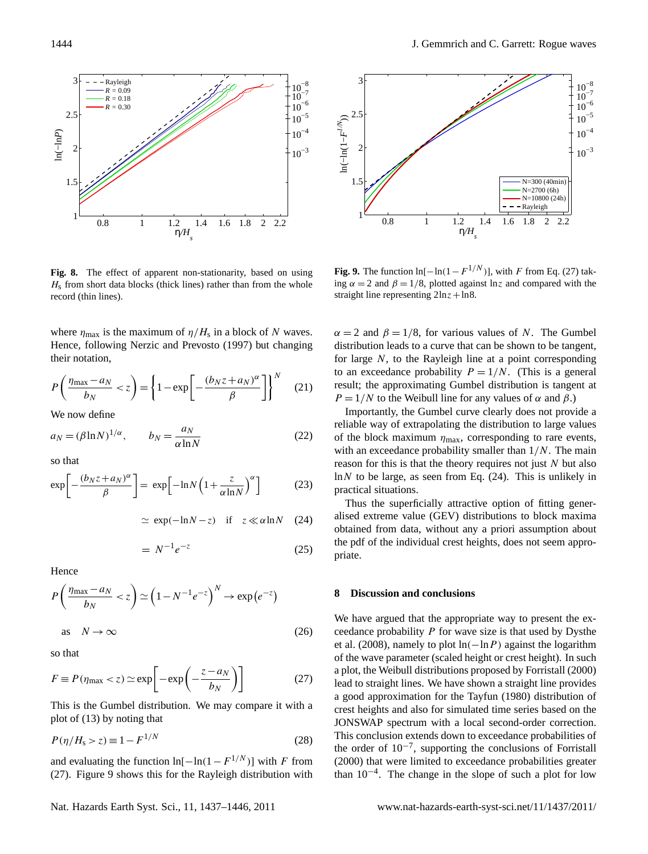3



<span id="page-7-0"></span>Fig. 8. The effect of apparent non-stationarity, based on using  $H<sub>s</sub>$  from short data blocks (thick lines) rather than from the whole **7 Generalised extreme value theory** record (thin lines).  $h_{\text{max}}$  no simple explanation in terms of the second order correction. Further examination of the quali-

where  $\eta_{\text{max}}$  is the maximum of  $\eta/H_s$  in a block of N waves. Hence, following [Nerzic and Prevosto](#page-9-4) [\(1997\)](#page-9-4) but changing  $\alpha$  as the exceedance probability for the maximum in blocks of data containing  $\alpha$ their notation,

$$
P\left(\frac{\eta_{\text{max}} - a_N}{b_N} < z\right) = \left\{1 - \exp\left[-\frac{(b_N z + a_N)^{\alpha}}{\beta}\right]\right\}^N \tag{21}
$$

We now define

$$
a_N = (\beta \ln N)^{1/\alpha}, \qquad b_N = \frac{a_N}{\alpha \ln N} \tag{22}
$$

where  $\mathbf{H}$  is the maximum of  $\mathbf{H}$  is the maximum of  $\mathbf{H}$  $\frac{1}{2}$ so that

$$
\exp\left[-\frac{(b_N z + a_N)^\alpha}{\beta}\right] = \exp\left[-\ln N \left(1 + \frac{z}{\alpha \ln N}\right)^\alpha\right] \tag{23}
$$

$$
\simeq \exp(-\ln N - z) \quad \text{if} \quad z \ll \alpha \ln N \quad (24)
$$

$$
= N^{-1}e^{-z} \tag{25}
$$

<span id="page-7-3"></span>Hence

$$
P\left(\frac{\eta_{\text{max}} - a_N}{b_N} < z\right) \simeq \left(1 - N^{-1}e^{-z}\right)^N \to \exp\left(e^{-z}\right)
$$
\nas\n
$$
N \to \infty
$$
\n(26)

so that

<span id="page-7-1"></span>
$$
F \equiv P(\eta_{\text{max}} < z) \simeq \exp\left[-\exp\left(-\frac{z - a_N}{b_N}\right)\right]
$$
 (27)

This is the Gumbel distribution. We may compare it with a plot of [\(13\)](#page-1-9) by noting that

$$
P(\eta/H_{\rm s} > z) \equiv 1 - F^{1/N} \tag{28}
$$

and evaluating the function  $\ln[-\ln(1 - F^{1/N})]$  with F from [\(27\)](#page-7-1). Figure [9](#page-7-2) shows this for the Rayleigh distribution with



<span id="page-7-2"></span>**Fig. 9.** The function ln[ $-\ln(1 - F^{1/N})$ ], with F from Eq. [\(27\)](#page-7-1) taking  $\alpha = 2$  and  $\beta = 1/8$ , plotted against lnz and compared with the straight line representing  $2\ln z + \ln 8$ .

 $\alpha = 2$  and  $\beta = 1/8$ , for various values of N. The Gumbel distribution leads to a curve that can be shown to be tangent, for large  $N$ , to the Rayleigh line at a point corresponding to an exceedance probability  $P = 1/N$ . (This is a general result; the approximating Gumbel distribution is tangent at  $P = 1/N$  to the Weibull line for any values of  $\alpha$  and  $\beta$ .)

of the block maximum  $\eta_{\text{max}}$ , corresponding to rare events, Importantly, the Gumbel curve clearly does not provide a reliable way of extrapolating the distribution to large values with an exceedance probability smaller than  $1/N$ . The main reason for this is that the theory requires not just  $N$  but also  $\Gamma$  and  $\Gamma$  are exceeded that using the exceedance probability based on a Weibull distribution of crest or crest or crest or crest or crest or crest or crest or crest or crest or crest or crest or crest or crest or cres  $ln N$  to be large, as seen from Eq. [\(24\)](#page-7-3). This is unlikely in (23) practical situations.

Thus the superficially attractive option of fitting generalised extreme value (GEV) distributions to block maxima exceed anchor number  $(92)$  y of waves large, the number of waves in a block becomes large, the number of waves large, the number of waves large, the number of waves in a block becomes large, the number of waves in the num obtained from data, without any a priori assumption about the pdf of the individual crest heights, does not seem appropriate.

#### **8 Discussion and conclusions**

We have argued that the appropriate way to present the exceedance probability P for wave size is that used by [Dysthe](#page-8-1) [et al.](#page-8-1) [\(2008\)](#page-8-1), namely to plot  $ln(-ln P)$  against the logarithm of the wave parameter (scaled height or crest height). In such a plot, the Weibull distributions proposed by [Forristall](#page-8-8) [\(2000\)](#page-8-8) lead to straight lines. We have shown a straight line provides a good approximation for the [Tayfun](#page-9-1) [\(1980\)](#page-9-1) distribution of crest heights and also for simulated time series based on the JONSWAP spectrum with a local second-order correction. This conclusion extends down to exceedance probabilities of the order of 10−<sup>7</sup> , supporting the conclusions of [Forristall](#page-8-8) [\(2000\)](#page-8-8) that were limited to exceedance probabilities greater than 10−<sup>4</sup> . The change in the slope of such a plot for low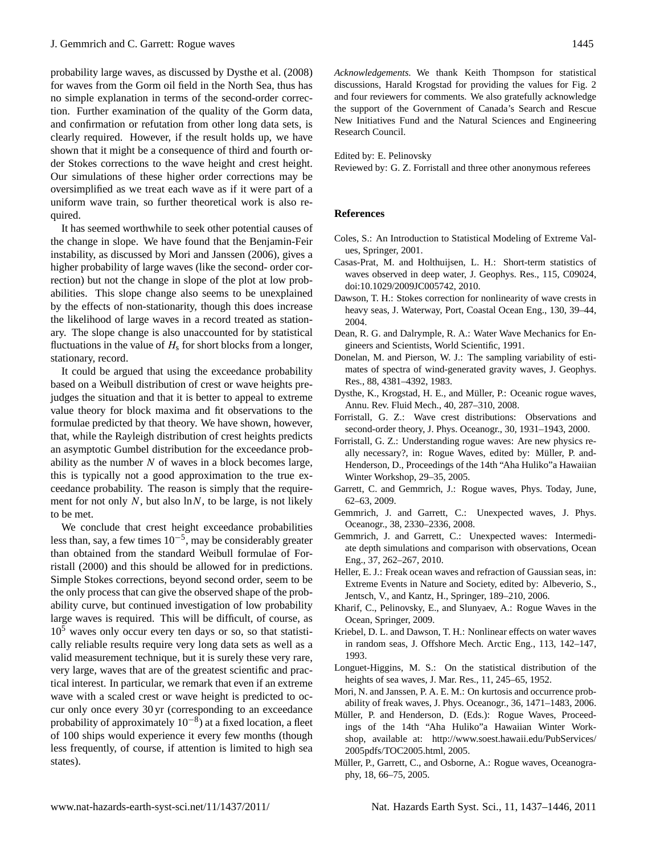probability large waves, as discussed by [Dysthe et al.](#page-8-1) [\(2008\)](#page-8-1) for waves from the Gorm oil field in the North Sea, thus has no simple explanation in terms of the second-order correction. Further examination of the quality of the Gorm data, and confirmation or refutation from other long data sets, is clearly required. However, if the result holds up, we have shown that it might be a consequence of third and fourth order Stokes corrections to the wave height and crest height. Our simulations of these higher order corrections may be oversimplified as we treat each wave as if it were part of a uniform wave train, so further theoretical work is also required.

It has seemed worthwhile to seek other potential causes of the change in slope. We have found that the Benjamin-Feir instability, as discussed by [Mori and Janssen](#page-8-13) [\(2006\)](#page-8-13), gives a higher probability of large waves (like the second- order correction) but not the change in slope of the plot at low probabilities. This slope change also seems to be unexplained by the effects of non-stationarity, though this does increase the likelihood of large waves in a record treated as stationary. The slope change is also unaccounted for by statistical fluctuations in the value of  $H<sub>s</sub>$  for short blocks from a longer, stationary, record.

It could be argued that using the exceedance probability based on a Weibull distribution of crest or wave heights prejudges the situation and that it is better to appeal to extreme value theory for block maxima and fit observations to the formulae predicted by that theory. We have shown, however, that, while the Rayleigh distribution of crest heights predicts an asymptotic Gumbel distribution for the exceedance probability as the number  $N$  of waves in a block becomes large, this is typically not a good approximation to the true exceedance probability. The reason is simply that the requirement for not only  $N$ , but also  $\ln N$ , to be large, is not likely to be met.

We conclude that crest height exceedance probabilities less than, say, a few times  $10^{-5}$ , may be considerably greater than obtained from the standard Weibull formulae of [For](#page-8-8)[ristall](#page-8-8) [\(2000\)](#page-8-8) and this should be allowed for in predictions. Simple Stokes corrections, beyond second order, seem to be the only process that can give the observed shape of the probability curve, but continued investigation of low probability large waves is required. This will be difficult, of course, as  $10<sup>5</sup>$  waves only occur every ten days or so, so that statistically reliable results require very long data sets as well as a valid measurement technique, but it is surely these very rare, very large, waves that are of the greatest scientific and practical interest. In particular, we remark that even if an extreme wave with a scaled crest or wave height is predicted to occur only once every 30 yr (corresponding to an exceedance probability of approximately  $10^{-8}$ ) at a fixed location, a fleet of 100 ships would experience it every few months (though less frequently, of course, if attention is limited to high sea states).

*Acknowledgements.* We thank Keith Thompson for statistical discussions, Harald Krogstad for providing the values for Fig. [2](#page-3-0) and four reviewers for comments. We also gratefully acknowledge the support of the Government of Canada's Search and Rescue New Initiatives Fund and the Natural Sciences and Engineering Research Council.

Edited by: E. Pelinovsky

Reviewed by: G. Z. Forristall and three other anonymous referees

## **References**

- <span id="page-8-4"></span>Coles, S.: An Introduction to Statistical Modeling of Extreme Values, Springer, 2001.
- <span id="page-8-6"></span>Casas-Prat, M. and Holthuijsen, L. H.: Short-term statistics of waves observed in deep water, J. Geophys. Res., 115, C09024, [doi:10.1029/2009JC005742,](http://dx.doi.org/10.1029/2009JC005742) 2010.
- <span id="page-8-12"></span>Dawson, T. H.: Stokes correction for nonlinearity of wave crests in heavy seas, J. Waterway, Port, Coastal Ocean Eng., 130, 39–44, 2004.
- <span id="page-8-7"></span>Dean, R. G. and Dalrymple, R. A.: Water Wave Mechanics for Engineers and Scientists, World Scientific, 1991.
- <span id="page-8-16"></span>Donelan, M. and Pierson, W. J.: The sampling variability of estimates of spectra of wind-generated gravity waves, J. Geophys. Res., 88, 4381–4392, 1983.
- <span id="page-8-1"></span>Dysthe, K., Krogstad, H. E., and Müller, P.: Oceanic rogue waves, Annu. Rev. Fluid Mech., 40, 287–310, 2008.
- <span id="page-8-8"></span>Forristall, G. Z.: Wave crest distributions: Observations and second-order theory, J. Phys. Oceanogr., 30, 1931–1943, 2000.
- <span id="page-8-17"></span>Forristall, G. Z.: Understanding rogue waves: Are new physics really necessary?, in: Rogue Waves, edited by: Müller, P. and-Henderson, D., Proceedings of the 14th "Aha Huliko"a Hawaiian Winter Workshop, 29–35, 2005.
- <span id="page-8-3"></span>Garrett, C. and Gemmrich, J.: Rogue waves, Phys. Today, June, 62–63, 2009.
- <span id="page-8-10"></span>Gemmrich, J. and Garrett, C.: Unexpected waves, J. Phys. Oceanogr., 38, 2330–2336, 2008.
- <span id="page-8-11"></span>Gemmrich, J. and Garrett, C.: Unexpected waves: Intermediate depth simulations and comparison with observations, Ocean Eng., 37, 262–267, 2010.
- <span id="page-8-15"></span>Heller, E. J.: Freak ocean waves and refraction of Gaussian seas, in: Extreme Events in Nature and Society, edited by: Albeverio, S., Jentsch, V., and Kantz, H., Springer, 189–210, 2006.
- <span id="page-8-2"></span>Kharif, C., Pelinovsky, E., and Slunyaev, A.: Rogue Waves in the Ocean, Springer, 2009.
- <span id="page-8-9"></span>Kriebel, D. L. and Dawson, T. H.: Nonlinear effects on water waves in random seas, J. Offshore Mech. Arctic Eng., 113, 142–147, 1993.
- <span id="page-8-5"></span>Longuet-Higgins, M. S.: On the statistical distribution of the heights of sea waves, J. Mar. Res., 11, 245–65, 1952.
- <span id="page-8-13"></span>Mori, N. and Janssen, P. A. E. M.: On kurtosis and occurrence probability of freak waves, J. Phys. Oceanogr., 36, 1471–1483, 2006.
- <span id="page-8-0"></span>Müller, P. and Henderson, D. (Eds.): Rogue Waves, Proceedings of the 14th "Aha Huliko"a Hawaiian Winter Workshop, available at: [http://www.soest.hawaii.edu/PubServices/](http://www.soest.hawaii.edu/PubServices/2005pdfs/TOC2005.html) [2005pdfs/TOC2005.html,](http://www.soest.hawaii.edu/PubServices/2005pdfs/TOC2005.html) 2005.
- <span id="page-8-14"></span>Müller, P., Garrett, C., and Osborne, A.: Rogue waves, Oceanography, 18, 66–75, 2005.